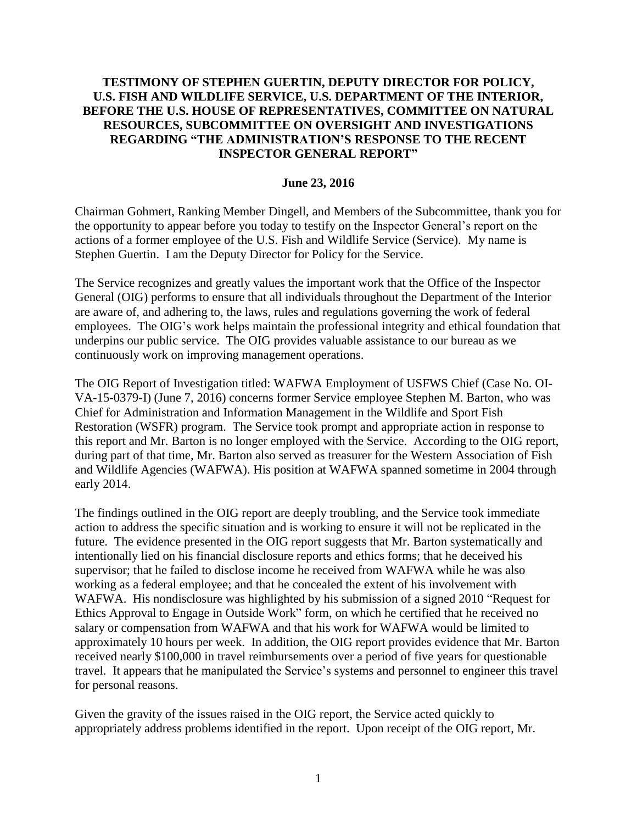## **TESTIMONY OF STEPHEN GUERTIN, DEPUTY DIRECTOR FOR POLICY, U.S. FISH AND WILDLIFE SERVICE, U.S. DEPARTMENT OF THE INTERIOR, BEFORE THE U.S. HOUSE OF REPRESENTATIVES, COMMITTEE ON NATURAL RESOURCES, SUBCOMMITTEE ON OVERSIGHT AND INVESTIGATIONS REGARDING "THE ADMINISTRATION'S RESPONSE TO THE RECENT INSPECTOR GENERAL REPORT"**

## **June 23, 2016**

Chairman Gohmert, Ranking Member Dingell, and Members of the Subcommittee, thank you for the opportunity to appear before you today to testify on the Inspector General's report on the actions of a former employee of the U.S. Fish and Wildlife Service (Service). My name is Stephen Guertin. I am the Deputy Director for Policy for the Service.

The Service recognizes and greatly values the important work that the Office of the Inspector General (OIG) performs to ensure that all individuals throughout the Department of the Interior are aware of, and adhering to, the laws, rules and regulations governing the work of federal employees. The OIG's work helps maintain the professional integrity and ethical foundation that underpins our public service. The OIG provides valuable assistance to our bureau as we continuously work on improving management operations.

The OIG Report of Investigation titled: WAFWA Employment of USFWS Chief (Case No. OI-VA-15-0379-I) (June 7, 2016) concerns former Service employee Stephen M. Barton, who was Chief for Administration and Information Management in the Wildlife and Sport Fish Restoration (WSFR) program. The Service took prompt and appropriate action in response to this report and Mr. Barton is no longer employed with the Service. According to the OIG report, during part of that time, Mr. Barton also served as treasurer for the Western Association of Fish and Wildlife Agencies (WAFWA). His position at WAFWA spanned sometime in 2004 through early 2014.

The findings outlined in the OIG report are deeply troubling, and the Service took immediate action to address the specific situation and is working to ensure it will not be replicated in the future. The evidence presented in the OIG report suggests that Mr. Barton systematically and intentionally lied on his financial disclosure reports and ethics forms; that he deceived his supervisor; that he failed to disclose income he received from WAFWA while he was also working as a federal employee; and that he concealed the extent of his involvement with WAFWA. His nondisclosure was highlighted by his submission of a signed 2010 "Request for Ethics Approval to Engage in Outside Work" form, on which he certified that he received no salary or compensation from WAFWA and that his work for WAFWA would be limited to approximately 10 hours per week. In addition, the OIG report provides evidence that Mr. Barton received nearly \$100,000 in travel reimbursements over a period of five years for questionable travel. It appears that he manipulated the Service's systems and personnel to engineer this travel for personal reasons.

Given the gravity of the issues raised in the OIG report, the Service acted quickly to appropriately address problems identified in the report. Upon receipt of the OIG report, Mr.